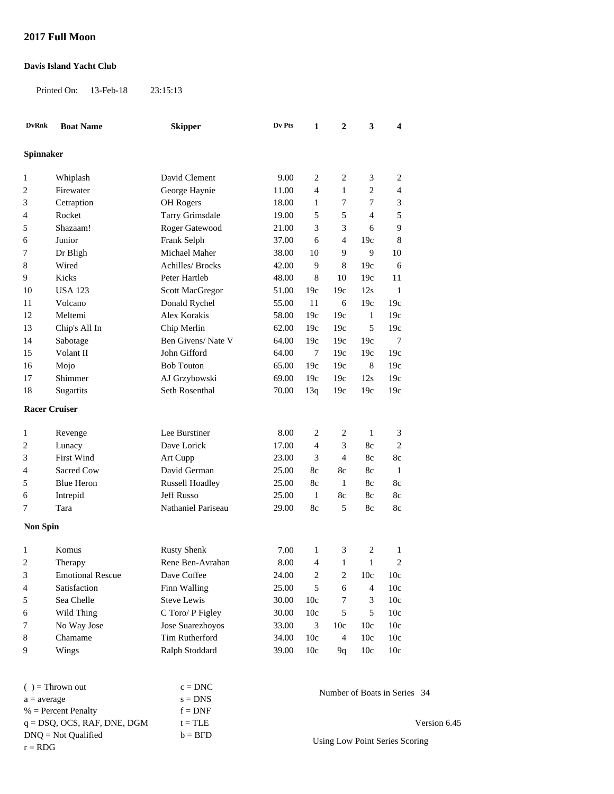## **2017 Full Moon**

## **Davis Island Yacht Club**

DNQ = Not Qualified

Printed On: 13-Feb-18 23:15:13

| <b>DvRnk</b>         | <b>Boat Name</b>               | <b>Skipper</b>          | Dv Pts | 1                            | $\overline{2}$ | 3              | $\overline{\mathbf{4}}$ |              |
|----------------------|--------------------------------|-------------------------|--------|------------------------------|----------------|----------------|-------------------------|--------------|
| Spinnaker            |                                |                         |        |                              |                |                |                         |              |
| 1                    | Whiplash                       | David Clement           | 9.00   | $\overline{c}$               | 2              | 3              | 2                       |              |
| 2                    | Firewater                      | George Haynie           | 11.00  | $\overline{4}$               | 1              | $\overline{2}$ | $\overline{4}$          |              |
| 3                    | Cetraption                     | OH Rogers               | 18.00  | $\mathbf{1}$                 | 7              | 7              | 3                       |              |
| 4                    | Rocket                         | <b>Tarry Grimsdale</b>  | 19.00  | 5                            | 5              | 4              | 5                       |              |
| 5                    | Shazaam!                       | Roger Gatewood          | 21.00  | 3                            | 3              | 6              | 9                       |              |
| 6                    | Junior                         | Frank Selph             | 37.00  | 6                            | 4              | 19c            | 8                       |              |
| 7                    | Dr Bligh                       | Michael Maher           | 38.00  | 10                           | 9              | 9              | 10                      |              |
| 8                    | Wired                          | <b>Achilles/ Brocks</b> | 42.00  | 9                            | 8              | 19c            | 6                       |              |
| 9                    | Kicks                          | Peter Hartleb           | 48.00  | 8                            | 10             | 19c            | 11                      |              |
| 10                   | <b>USA 123</b>                 | Scott MacGregor         | 51.00  | 19c                          | 19c            | 12s            | $\mathbf{1}$            |              |
| 11                   | Volcano                        | Donald Rychel           | 55.00  | 11                           | 6              | 19c            | 19c                     |              |
| 12                   | Meltemi                        | Alex Korakis            | 58.00  | 19c                          | 19c            | $\mathbf{1}$   | 19c                     |              |
| 13                   | Chip's All In                  | Chip Merlin             | 62.00  | 19c                          | 19c            | 5              | 19c                     |              |
| 14                   | Sabotage                       | Ben Givens/Nate V       | 64.00  | 19c                          | 19c            | 19c            | 7                       |              |
| 15                   | Volant II                      | John Gifford            | 64.00  | 7                            | 19c            | 19c            | 19c                     |              |
| 16                   | Mojo                           | <b>Bob Touton</b>       | 65.00  | 19c                          | 19c            | $\,8\,$        | 19c                     |              |
| 17                   | Shimmer                        | AJ Grzybowski           | 69.00  | 19c                          | 19c            | 12s            | 19c                     |              |
| 18                   | Sugartits                      | Seth Rosenthal          | 70.00  | 13q                          | 19c            | 19c            | 19c                     |              |
| <b>Racer Cruiser</b> |                                |                         |        |                              |                |                |                         |              |
| 1                    | Revenge                        | Lee Burstiner           | 8.00   | 2                            | 2              | $\mathbf{1}$   | 3                       |              |
| 2                    | Lunacy                         | Dave Lorick             | 17.00  | 4                            | 3              | 8c             | $\overline{c}$          |              |
| 3                    | <b>First Wind</b>              | Art Cupp                | 23.00  | 3                            | 4              | 8c             | 8c                      |              |
| 4                    | Sacred Cow                     | David German            | 25.00  | 8c                           | 8c             | 8c             | $\mathbf{1}$            |              |
| 5                    | <b>Blue Heron</b>              | <b>Russell Hoadley</b>  | 25.00  | 8c                           | 1              | 8c             | 8c                      |              |
| 6                    | Intrepid                       | <b>Jeff Russo</b>       | 25.00  | 1                            | 8c             | 8c             | 8c                      |              |
| 7                    | Tara                           | Nathaniel Pariseau      | 29.00  | 8c                           | 5              | 8c             | 8c                      |              |
| <b>Non Spin</b>      |                                |                         |        |                              |                |                |                         |              |
| 1                    | Komus                          | <b>Rusty Shenk</b>      | 7.00   | 1                            | 3              | 2              | 1                       |              |
| 2                    | Therapy                        | Rene Ben-Avrahan        | 8.00   | 4                            | 1              | 1              | $\overline{2}$          |              |
| 3                    | <b>Emotional Rescue</b>        | Dave Coffee             | 24.00  | 2                            | 2              | 10c            | 10c                     |              |
| 4                    | Satisfaction                   | Finn Walling            | 25.00  | 5                            | 6              | $\overline{4}$ | 10c                     |              |
| 5                    | Sea Chelle                     | <b>Steve Lewis</b>      | 30.00  | 10 <sub>c</sub>              | 7              | 3              | 10c                     |              |
| 6                    | Wild Thing                     | C Toro/ P Figley        | 30.00  | 10c                          | 5              | $\sqrt{5}$     | 10c                     |              |
| 7                    | No Way Jose                    | Jose Suarezhoyos        | 33.00  | 3                            | 10c            | 10c            | 10c                     |              |
| 8                    | Chamame                        | Tim Rutherford          | 34.00  | 10c                          | $\overline{4}$ | 10c            | 10c                     |              |
| 9                    | Wings                          | Ralph Stoddard          | 39.00  | 10c                          | 9q             | 10c            | 10c                     |              |
|                      |                                |                         |        |                              |                |                |                         |              |
| $( )$ = Thrown out   |                                | $c = DNC$               |        | Number of Boats in Series 34 |                |                |                         |              |
| $a = average$        |                                | $s = DNS$               |        |                              |                |                |                         |              |
|                      | $%$ = Percent Penalty          | $f = DNF$               |        |                              |                |                |                         |              |
|                      | $q = DSQ$ , OCS, RAF, DNE, DGM | $t = TLE$               |        |                              |                |                |                         | Version 6.45 |

 $b = BFD$ 

 $r = RDG$ <br>T = RDG Using Low Point Series Scoring